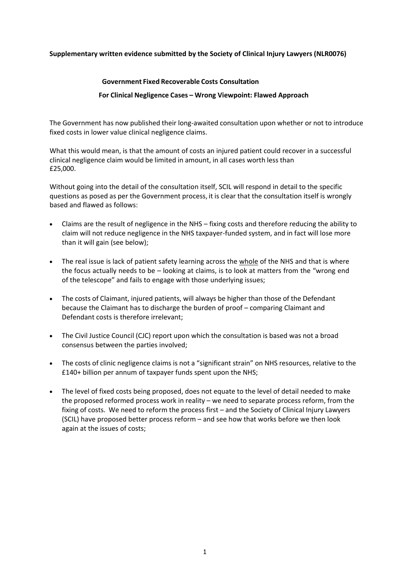## **Supplementary written evidence submitted by the Society of Clinical Injury Lawyers (NLR0076)**

## **Government Fixed Recoverable Costs Consultation**

## **For Clinical Negligence Cases – Wrong Viewpoint: Flawed Approach**

The Government has now published their long-awaited consultation upon whether or not to introduce fixed costs in lower value clinical negligence claims.

What this would mean, is that the amount of costs an injured patient could recover in a successful clinical negligence claim would be limited in amount, in all cases worth less than £25,000.

Without going into the detail of the consultation itself, SCIL will respond in detail to the specific questions as posed as per the Government process, it is clear that the consultation itself is wrongly based and flawed as follows:

- Claims are the result of negligence in the NHS fixing costs and therefore reducing the ability to claim will not reduce negligence in the NHS taxpayer-funded system, and in fact will lose more than it will gain (see below);
- The real issue is lack of patient safety learning across the whole of the NHS and that is where the focus actually needs to be – looking at claims, is to look at matters from the "wrong end of the telescope" and fails to engage with those underlying issues;
- The costs of Claimant, injured patients, will always be higher than those of the Defendant because the Claimant has to discharge the burden of proof – comparing Claimant and Defendant costs is therefore irrelevant;
- The Civil Justice Council (CJC) report upon which the consultation is based was not a broad consensus between the parties involved;
- The costs of clinic negligence claims is not a "significant strain" on NHS resources, relative to the £140+ billion per annum of taxpayer funds spent upon the NHS;
- The level of fixed costs being proposed, does not equate to the level of detail needed to make the proposed reformed process work in reality – we need to separate process reform, from the fixing of costs. We need to reform the process first – and the Society of Clinical Injury Lawyers (SCIL) have proposed better process reform – and see how that works before we then look again at the issues of costs;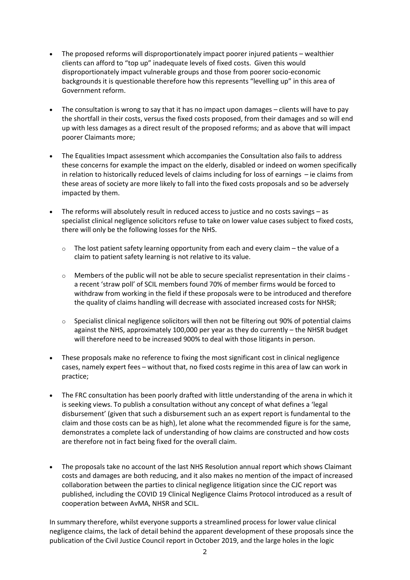- The proposed reforms will disproportionately impact poorer injured patients wealthier clients can afford to "top up" inadequate levels of fixed costs. Given this would disproportionately impact vulnerable groups and those from poorer socio-economic backgrounds it is questionable therefore how this represents "levelling up" in this area of Government reform.
- The consultation is wrong to say that it has no impact upon damages clients will have to pay the shortfall in their costs, versus the fixed costs proposed, from their damages and so will end up with less damages as a direct result of the proposed reforms; and as above that will impact poorer Claimants more;
- The Equalities Impact assessment which accompanies the Consultation also fails to address these concerns for example the impact on the elderly, disabled or indeed on women specifically in relation to historically reduced levels of claims including for loss of earnings – ie claims from these areas of society are more likely to fall into the fixed costs proposals and so be adversely impacted by them.
- The reforms will absolutely result in reduced access to justice and no costs savings as specialist clinical negligence solicitors refuse to take on lower value cases subject to fixed costs, there will only be the following losses for the NHS.
	- $\circ$  The lost patient safety learning opportunity from each and every claim the value of a claim to patient safety learning is not relative to its value.
	- $\circ$  Members of the public will not be able to secure specialist representation in their claims a recent 'straw poll' of SCIL members found 70% of member firms would be forced to withdraw from working in the field if these proposals were to be introduced and therefore the quality of claims handling will decrease with associated increased costs for NHSR;
	- $\circ$  Specialist clinical negligence solicitors will then not be filtering out 90% of potential claims against the NHS, approximately 100,000 per year as they do currently – the NHSR budget will therefore need to be increased 900% to deal with those litigants in person.
- These proposals make no reference to fixing the most significant cost in clinical negligence cases, namely expert fees – without that, no fixed costs regime in this area of law can work in practice;
- The FRC consultation has been poorly drafted with little understanding of the arena in which it is seeking views. To publish a consultation without any concept of what defines a 'legal disbursement' (given that such a disbursement such an as expert report is fundamental to the claim and those costs can be as high), let alone what the recommended figure is for the same, demonstrates a complete lack of understanding of how claims are constructed and how costs are therefore not in fact being fixed for the overall claim.
- The proposals take no account of the last NHS Resolution annual report which shows Claimant costs and damages are both reducing, and it also makes no mention of the impact of increased collaboration between the parties to clinical negligence litigation since the CJC report was published, including the COVID 19 Clinical Negligence Claims Protocol introduced as a result of cooperation between AvMA, NHSR and SCIL.

In summary therefore, whilst everyone supports a streamlined process for lower value clinical negligence claims, the lack of detail behind the apparent development of these proposals since the publication of the Civil Justice Council report in October 2019, and the large holes in the logic